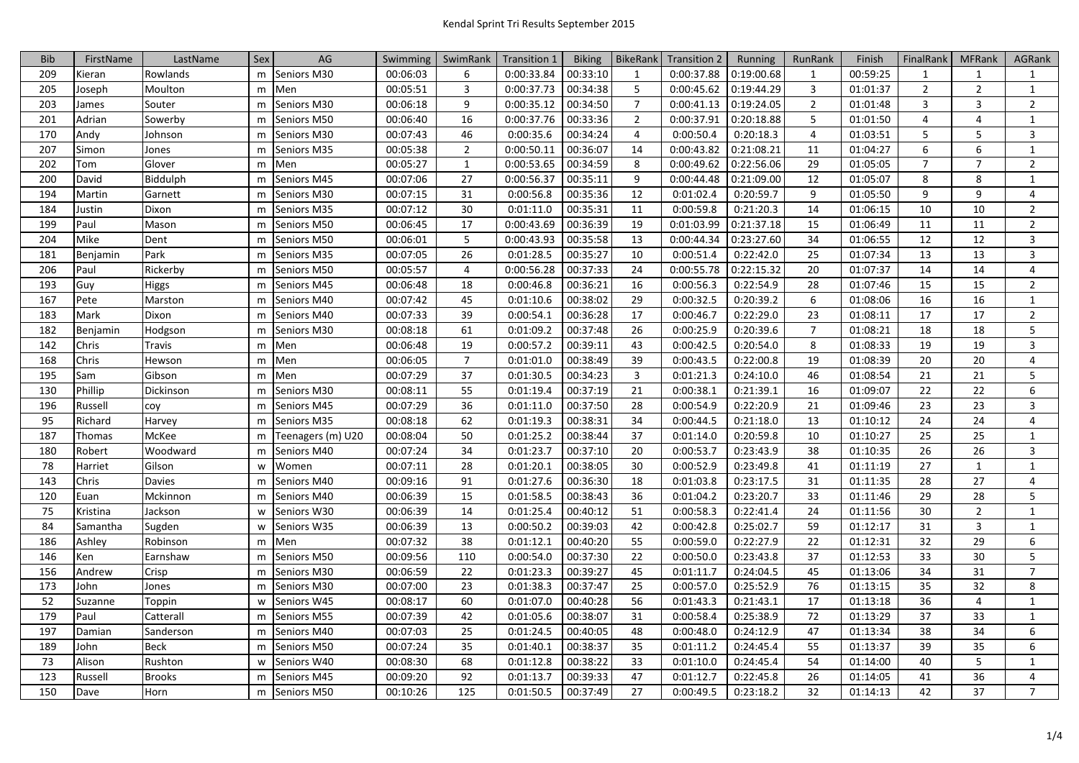| <b>Bib</b> | FirstName | LastName      | Sex | AG                | Swimming | SwimRank        | <b>Transition 1</b> | <b>Biking</b> | BikeRank       | <b>Transition 2</b> | Running    | RunRank        | Finish   | FinalRank      | <b>MFRank</b>  | <b>AGRank</b>  |
|------------|-----------|---------------|-----|-------------------|----------|-----------------|---------------------|---------------|----------------|---------------------|------------|----------------|----------|----------------|----------------|----------------|
| 209        | Kieran    | Rowlands      | m   | Seniors M30       | 00:06:03 | 6               | 0:00:33.84          | 00:33:10      | 1              | 0:00:37.88          | 0:19:00.68 | 1              | 00:59:25 | 1              | 1              | $\mathbf{1}$   |
| 205        | Joseph    | Moulton       | m   | Men               | 00:05:51 | $\overline{3}$  | 0:00:37.73          | 00:34:38      | $5^{\circ}$    | 0:00:45.62          | 0:19:44.29 | $\overline{3}$ | 01:01:37 | $\overline{2}$ | $\overline{2}$ | $\mathbf{1}$   |
| 203        | James     | Souter        | m   | Seniors M30       | 00:06:18 | 9               | 0:00:35.12          | 00:34:50      | $\overline{7}$ | 0:00:41.13          | 0:19:24.05 | $\overline{2}$ | 01:01:48 | 3              | 3              | $\overline{2}$ |
| 201        | Adrian    | Sowerby       | m   | Seniors M50       | 00:06:40 | 16              | 0:00:37.76          | 00:33:36      | $\overline{2}$ | 0:00:37.91          | 0:20:18.88 | 5              | 01:01:50 | 4              | 4              | $\mathbf{1}$   |
| 170        | Andy      | Johnson       | m   | Seniors M30       | 00:07:43 | 46              | 0:00:35.6           | 00:34:24      | $\overline{4}$ | 0:00:50.4           | 0:20:18.3  | $\overline{4}$ | 01:03:51 | 5              | 5              | $\overline{3}$ |
| 207        | Simon     | Jones         | m   | Seniors M35       | 00:05:38 | $\overline{2}$  | 0:00:50.11          | 00:36:07      | 14             | 0:00:43.82          | 0:21:08.21 | 11             | 01:04:27 | 6              | 6              | $\mathbf{1}$   |
| 202        | Tom       | Glover        | m   | Men               | 00:05:27 | $\mathbf{1}$    | 0:00:53.65          | 00:34:59      | 8              | 0:00:49.62          | 0:22:56.06 | 29             | 01:05:05 | $\overline{7}$ | $\overline{7}$ | $\overline{2}$ |
| 200        | David     | Biddulph      | m   | Seniors M45       | 00:07:06 | 27              | 0:00:56.37          | 00:35:11      | 9              | 0:00:44.48          | 0:21:09.00 | 12             | 01:05:07 | 8              | 8              | $\mathbf{1}$   |
| 194        | Martin    | Garnett       | m   | Seniors M30       | 00:07:15 | 31              | 0:00:56.8           | 00:35:36      | 12             | 0:01:02.4           | 0:20:59.7  | 9              | 01:05:50 | 9              | $\overline{9}$ | 4              |
| 184        | Justin    | Dixon         | m   | Seniors M35       | 00:07:12 | 30              | 0:01:11.0           | 00:35:31      | 11             | 0:00:59.8           | 0:21:20.3  | 14             | 01:06:15 | 10             | 10             | $\overline{2}$ |
| 199        | Paul      | Mason         | m   | Seniors M50       | 00:06:45 | 17              | 0:00:43.69          | 00:36:39      | 19             | 0:01:03.99          | 0:21:37.18 | 15             | 01:06:49 | 11             | 11             | $\overline{2}$ |
| 204        | Mike      | Dent          | m   | Seniors M50       | 00:06:01 | $5\phantom{.0}$ | 0:00:43.93          | 00:35:58      | 13             | 0:00:44.34          | 0:23:27.60 | 34             | 01:06:55 | 12             | 12             | 3              |
| 181        | Benjamin  | Park          | m   | Seniors M35       | 00:07:05 | 26              | 0:01:28.5           | 00:35:27      | 10             | 0:00:51.4           | 0:22:42.0  | 25             | 01:07:34 | 13             | 13             | 3              |
| 206        | Paul      | Rickerby      | m   | Seniors M50       | 00:05:57 | 4               | 0:00:56.28          | 00:37:33      | 24             | 0:00:55.78          | 0:22:15.32 | 20             | 01:07:37 | 14             | 14             | 4              |
| 193        | Guy       | <b>Higgs</b>  | m   | Seniors M45       | 00:06:48 | 18              | 0:00:46.8           | 00:36:21      | 16             | 0:00:56.3           | 0:22:54.9  | 28             | 01:07:46 | 15             | 15             | $\overline{2}$ |
| 167        | Pete      | Marston       | m   | Seniors M40       | 00:07:42 | 45              | 0:01:10.6           | 00:38:02      | 29             | 0:00:32.5           | 0:20:39.2  | 6              | 01:08:06 | 16             | 16             | $\mathbf{1}$   |
| 183        | Mark      | Dixon         | m   | Seniors M40       | 00:07:33 | 39              | 0:00:54.1           | 00:36:28      | 17             | 0:00:46.7           | 0:22:29.0  | 23             | 01:08:11 | 17             | 17             | $\overline{2}$ |
| 182        | Benjamin  | Hodgson       | m   | Seniors M30       | 00:08:18 | 61              | 0:01:09.2           | 00:37:48      | 26             | 0:00:25.9           | 0:20:39.6  | $\overline{7}$ | 01:08:21 | 18             | 18             | 5              |
| 142        | Chris     | Travis        | m   | Men               | 00:06:48 | 19              | 0:00:57.2           | 00:39:11      | 43             | 0:00:42.5           | 0:20:54.0  | 8              | 01:08:33 | 19             | 19             | 3              |
| 168        | Chris     | Hewson        | m   | Men               | 00:06:05 | $\overline{7}$  | 0:01:01.0           | 00:38:49      | 39             | 0:00:43.5           | 0:22:00.8  | 19             | 01:08:39 | 20             | 20             | 4              |
| 195        | Sam       | Gibson        | m   | Men               | 00:07:29 | 37              | 0:01:30.5           | 00:34:23      | $\overline{3}$ | 0:01:21.3           | 0:24:10.0  | 46             | 01:08:54 | 21             | 21             | 5              |
| 130        | Phillip   | Dickinson     | m   | Seniors M30       | 00:08:11 | 55              | 0:01:19.4           | 00:37:19      | 21             | 0:00:38.1           | 0:21:39.1  | 16             | 01:09:07 | 22             | 22             | 6              |
| 196        | Russell   | coy           | m   | Seniors M45       | 00:07:29 | 36              | 0:01:11.0           | 00:37:50      | 28             | 0:00:54.9           | 0:22:20.9  | 21             | 01:09:46 | 23             | 23             | $\overline{3}$ |
| 95         | Richard   | Harvey        | m   | Seniors M35       | 00:08:18 | 62              | 0:01:19.3           | 00:38:31      | 34             | 0:00:44.5           | 0:21:18.0  | 13             | 01:10:12 | 24             | 24             | 4              |
| 187        | Thomas    | McKee         | m   | Teenagers (m) U20 | 00:08:04 | 50              | 0:01:25.2           | 00:38:44      | 37             | 0:01:14.0           | 0:20:59.8  | 10             | 01:10:27 | 25             | 25             | $\mathbf{1}$   |
| 180        | Robert    | Woodward      | m   | Seniors M40       | 00:07:24 | 34              | 0:01:23.7           | 00:37:10      | 20             | 0:00:53.7           | 0:23:43.9  | 38             | 01:10:35 | 26             | 26             | 3              |
| 78         | Harriet   | Gilson        | W   | Women             | 00:07:11 | 28              | 0:01:20.1           | 00:38:05      | 30             | 0:00:52.9           | 0:23:49.8  | 41             | 01:11:19 | 27             | $\mathbf{1}$   | $\mathbf{1}$   |
| 143        | Chris     | <b>Davies</b> | m   | Seniors M40       | 00:09:16 | 91              | 0:01:27.6           | 00:36:30      | 18             | 0:01:03.8           | 0:23:17.5  | 31             | 01:11:35 | 28             | 27             | 4              |
| 120        | Euan      | Mckinnon      | m   | Seniors M40       | 00:06:39 | 15              | 0:01:58.5           | 00:38:43      | 36             | 0:01:04.2           | 0:23:20.7  | 33             | 01:11:46 | 29             | 28             | 5              |
| 75         | Kristina  | Jackson       | W   | Seniors W30       | 00:06:39 | 14              | 0:01:25.4           | 00:40:12      | 51             | 0:00:58.3           | 0:22:41.4  | 24             | 01:11:56 | 30             | $\overline{2}$ | $\mathbf{1}$   |
| 84         | Samantha  | Sugden        | w   | Seniors W35       | 00:06:39 | 13              | 0:00:50.2           | 00:39:03      | 42             | 0:00:42.8           | 0:25:02.7  | 59             | 01:12:17 | 31             | $\overline{3}$ | $\mathbf{1}$   |
| 186        | Ashley    | Robinson      | m   | Men               | 00:07:32 | 38              | 0:01:12.1           | 00:40:20      | 55             | 0:00:59.0           | 0:22:27.9  | 22             | 01:12:31 | 32             | 29             | 6              |
| 146        | Ken       | Earnshaw      | m   | Seniors M50       | 00:09:56 | 110             | 0:00:54.0           | 00:37:30      | 22             | 0:00:50.0           | 0:23:43.8  | 37             | 01:12:53 | 33             | 30             | 5              |
| 156        | Andrew    | Crisp         | m   | Seniors M30       | 00:06:59 | 22              | 0:01:23.3           | 00:39:27      | 45             | 0:01:11.7           | 0:24:04.5  | 45             | 01:13:06 | 34             | 31             | $\overline{7}$ |
| 173        | John      | Jones         | m   | Seniors M30       | 00:07:00 | 23              | 0:01:38.3           | 00:37:47      | 25             | 0:00:57.0           | 0:25:52.9  | 76             | 01:13:15 | 35             | 32             | 8              |
| 52         | Suzanne   | Toppin        | W   | Seniors W45       | 00:08:17 | 60              | 0:01:07.0           | 00:40:28      | 56             | 0:01:43.3           | 0:21:43.1  | 17             | 01:13:18 | 36             | $\overline{4}$ | $\mathbf{1}$   |
| 179        | Paul      | Catterall     | m   | Seniors M55       | 00:07:39 | 42              | 0:01:05.6           | 00:38:07      | 31             | 0:00:58.4           | 0:25:38.9  | 72             | 01:13:29 | 37             | 33             | $\mathbf{1}$   |
| 197        | Damian    | Sanderson     | m   | Seniors M40       | 00:07:03 | 25              | 0:01:24.5           | 00:40:05      | 48             | 0:00:48.0           | 0:24:12.9  | 47             | 01:13:34 | 38             | 34             | 6              |
| 189        | John      | <b>Beck</b>   | m   | Seniors M50       | 00:07:24 | 35              | 0:01:40.1           | 00:38:37      | 35             | 0:01:11.2           | 0:24:45.4  | 55             | 01:13:37 | 39             | 35             | 6              |
| 73         | Alison    | Rushton       | W   | Seniors W40       | 00:08:30 | 68              | 0:01:12.8           | 00:38:22      | 33             | 0:01:10.0           | 0:24:45.4  | 54             | 01:14:00 | 40             | 5              | $\mathbf{1}$   |
| 123        | Russell   | <b>Brooks</b> | m   | Seniors M45       | 00:09:20 | 92              | 0:01:13.7           | 00:39:33      | 47             | 0:01:12.7           | 0:22:45.8  | 26             | 01:14:05 | 41             | 36             | 4              |
| 150        | Dave      | Horn          | m   | Seniors M50       | 00:10:26 | 125             | 0:01:50.5           | 00:37:49      | 27             | 0:00:49.5           | 0:23:18.2  | 32             | 01:14:13 | 42             | 37             | $\overline{7}$ |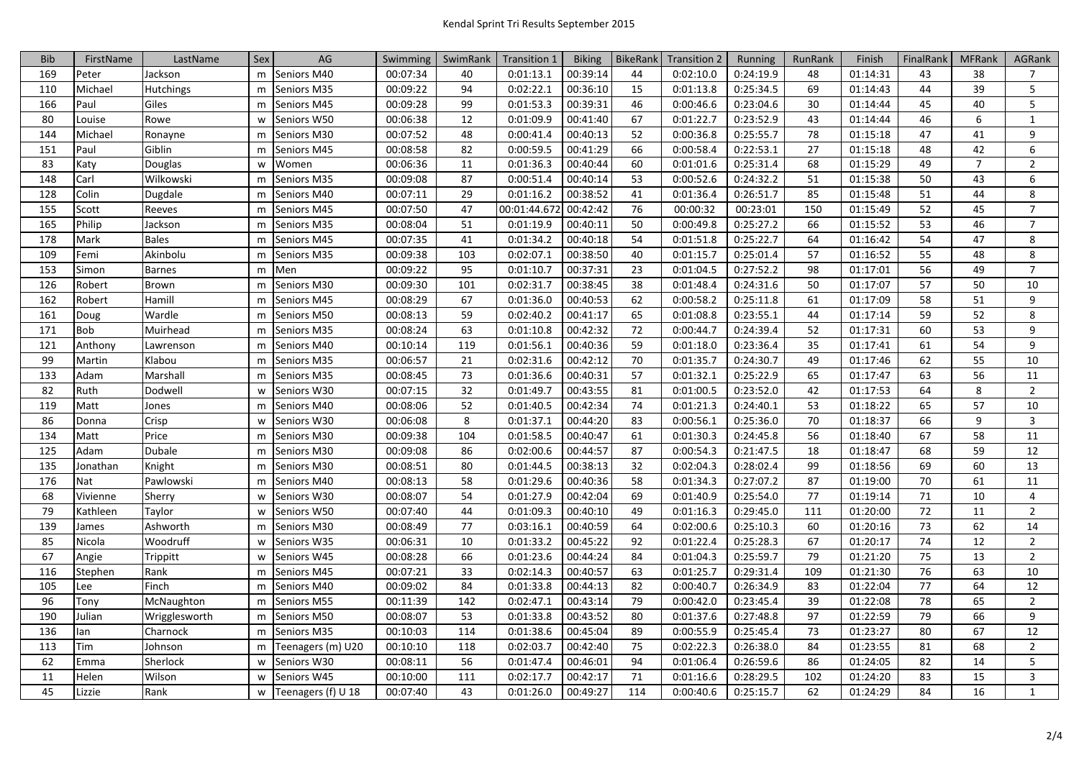| <b>Bib</b> | FirstName | LastName         | Sex | AG                 | Swimming | SwimRank | <b>Transition 1</b> | <b>Biking</b> | <b>BikeRank</b> | <b>Transition 2</b> | Running   | RunRank | Finish   | FinalRank | <b>MFRank</b>  | <b>AGRank</b>  |
|------------|-----------|------------------|-----|--------------------|----------|----------|---------------------|---------------|-----------------|---------------------|-----------|---------|----------|-----------|----------------|----------------|
| 169        | Peter     | Jackson          | m   | Seniors M40        | 00:07:34 | 40       | 0:01:13.1           | 00:39:14      | 44              | 0:02:10.0           | 0:24:19.9 | 48      | 01:14:31 | 43        | 38             | $\overline{7}$ |
| 110        | Michael   | <b>Hutchings</b> | m   | Seniors M35        | 00:09:22 | 94       | 0:02:22.1           | 00:36:10      | 15              | 0:01:13.8           | 0:25:34.5 | 69      | 01:14:43 | 44        | 39             | 5              |
| 166        | Paul      | Giles            | m   | Seniors M45        | 00:09:28 | 99       | 0:01:53.3           | 00:39:31      | 46              | 0:00:46.6           | 0:23:04.6 | 30      | 01:14:44 | 45        | 40             | 5              |
| 80         | Louise    | Rowe             | W   | Seniors W50        | 00:06:38 | 12       | 0:01:09.9           | 00:41:40      | 67              | 0:01:22.7           | 0:23:52.9 | 43      | 01:14:44 | 46        | 6              | $\mathbf{1}$   |
| 144        | Michael   | Ronayne          | m   | Seniors M30        | 00:07:52 | 48       | 0:00:41.4           | 00:40:13      | 52              | 0:00:36.8           | 0:25:55.7 | 78      | 01:15:18 | 47        | 41             | 9              |
| 151        | Paul      | Giblin           | m   | Seniors M45        | 00:08:58 | 82       | 0:00:59.5           | 00:41:29      | 66              | 0:00:58.4           | 0:22:53.1 | 27      | 01:15:18 | 48        | 42             | 6              |
| 83         | Katy      | Douglas          | W   | Women              | 00:06:36 | 11       | 0:01:36.3           | 00:40:44      | 60              | 0:01:01.6           | 0:25:31.4 | 68      | 01:15:29 | 49        | $\overline{7}$ | $\overline{2}$ |
| 148        | Carl      | Wilkowski        | m   | Seniors M35        | 00:09:08 | 87       | 0:00:51.4           | 00:40:14      | 53              | 0:00:52.6           | 0:24:32.2 | 51      | 01:15:38 | 50        | 43             | 6              |
| 128        | Colin     | Dugdale          | m   | Seniors M40        | 00:07:11 | 29       | 0:01:16.2           | 00:38:52      | 41              | 0:01:36.4           | 0:26:51.7 | 85      | 01:15:48 | 51        | 44             | 8              |
| 155        | Scott     | Reeves           | m   | Seniors M45        | 00:07:50 | 47       | 00:01:44.672        | 00:42:42      | 76              | 00:00:32            | 00:23:01  | 150     | 01:15:49 | 52        | 45             | $\overline{7}$ |
| 165        | Philip    | Jackson          | m   | Seniors M35        | 00:08:04 | 51       | 0:01:19.9           | 00:40:11      | 50              | 0:00:49.8           | 0:25:27.2 | 66      | 01:15:52 | 53        | 46             | $\overline{7}$ |
| 178        | Mark      | <b>Bales</b>     | m   | Seniors M45        | 00:07:35 | 41       | 0:01:34.2           | 00:40:18      | 54              | 0:01:51.8           | 0:25:22.7 | 64      | 01:16:42 | 54        | 47             | 8              |
| 109        | Femi      | Akinbolu         | m   | Seniors M35        | 00:09:38 | 103      | 0:02:07.1           | 00:38:50      | 40              | 0:01:15.7           | 0:25:01.4 | 57      | 01:16:52 | 55        | 48             | 8              |
| 153        | Simon     | <b>Barnes</b>    | m   | Men                | 00:09:22 | 95       | 0:01:10.7           | 00:37:31      | 23              | 0:01:04.5           | 0:27:52.2 | 98      | 01:17:01 | 56        | 49             | $\overline{7}$ |
| 126        | Robert    | Brown            | m   | Seniors M30        | 00:09:30 | 101      | 0:02:31.7           | 00:38:45      | 38              | 0:01:48.4           | 0:24:31.6 | 50      | 01:17:07 | 57        | 50             | 10             |
| 162        | Robert    | Hamill           | m   | Seniors M45        | 00:08:29 | 67       | 0:01:36.0           | 00:40:53      | 62              | 0:00:58.2           | 0:25:11.8 | 61      | 01:17:09 | 58        | 51             | 9              |
| 161        | Doug      | Wardle           | m   | Seniors M50        | 00:08:13 | 59       | 0:02:40.2           | 00:41:17      | 65              | 0:01:08.8           | 0:23:55.1 | 44      | 01:17:14 | 59        | 52             | 8              |
| 171        | Bob       | Muirhead         | m   | Seniors M35        | 00:08:24 | 63       | 0:01:10.8           | 00:42:32      | 72              | 0:00:44.7           | 0:24:39.4 | 52      | 01:17:31 | 60        | 53             | 9              |
| 121        | Anthony   | Lawrenson        | m   | Seniors M40        | 00:10:14 | 119      | 0:01:56.1           | 00:40:36      | 59              | 0:01:18.0           | 0:23:36.4 | 35      | 01:17:41 | 61        | 54             | 9              |
| 99         | Martin    | Klabou           | m   | Seniors M35        | 00:06:57 | 21       | 0:02:31.6           | 00:42:12      | 70              | 0:01:35.7           | 0:24:30.7 | 49      | 01:17:46 | 62        | 55             | 10             |
| 133        | Adam      | Marshall         | m   | Seniors M35        | 00:08:45 | 73       | 0:01:36.6           | 00:40:31      | 57              | 0:01:32.1           | 0:25:22.9 | 65      | 01:17:47 | 63        | 56             | 11             |
| 82         | Ruth      | Dodwell          | W   | Seniors W30        | 00:07:15 | 32       | 0:01:49.7           | 00:43:55      | 81              | 0:01:00.5           | 0:23:52.0 | 42      | 01:17:53 | 64        | 8              | $\overline{2}$ |
| 119        | Matt      | Jones            | m   | Seniors M40        | 00:08:06 | 52       | 0:01:40.5           | 00:42:34      | 74              | 0:01:21.3           | 0:24:40.1 | 53      | 01:18:22 | 65        | 57             | 10             |
| 86         | Donna     | Crisp            | W   | Seniors W30        | 00:06:08 | 8        | 0:01:37.1           | 00:44:20      | 83              | 0:00:56.1           | 0:25:36.0 | 70      | 01:18:37 | 66        | 9              | $\overline{3}$ |
| 134        | Matt      | Price            | m   | Seniors M30        | 00:09:38 | 104      | 0:01:58.5           | 00:40:47      | 61              | 0:01:30.3           | 0:24:45.8 | 56      | 01:18:40 | 67        | 58             | 11             |
| 125        | Adam      | Dubale           | m   | Seniors M30        | 00:09:08 | 86       | 0:02:00.6           | 00:44:57      | 87              | 0:00:54.3           | 0:21:47.5 | 18      | 01:18:47 | 68        | 59             | 12             |
| 135        | Jonathan  | Knight           | m   | Seniors M30        | 00:08:51 | 80       | 0:01:44.5           | 00:38:13      | 32              | 0:02:04.3           | 0:28:02.4 | 99      | 01:18:56 | 69        | 60             | 13             |
| 176        | Nat       | Pawlowski        | m   | Seniors M40        | 00:08:13 | 58       | 0:01:29.6           | 00:40:36      | 58              | 0:01:34.3           | 0:27:07.2 | 87      | 01:19:00 | 70        | 61             | 11             |
| 68         | Vivienne  | Sherry           | W   | Seniors W30        | 00:08:07 | 54       | 0:01:27.9           | 00:42:04      | 69              | 0:01:40.9           | 0:25:54.0 | 77      | 01:19:14 | 71        | 10             | 4              |
| 79         | Kathleen  | Taylor           | W   | Seniors W50        | 00:07:40 | 44       | 0:01:09.3           | 00:40:10      | 49              | 0:01:16.3           | 0:29:45.0 | 111     | 01:20:00 | 72        | 11             | $\overline{2}$ |
| 139        | James     | Ashworth         | m   | Seniors M30        | 00:08:49 | 77       | 0:03:16.1           | 00:40:59      | 64              | 0:02:00.6           | 0:25:10.3 | 60      | 01:20:16 | 73        | 62             | 14             |
| 85         | Nicola    | Woodruff         | W   | Seniors W35        | 00:06:31 | 10       | 0:01:33.2           | 00:45:22      | 92              | 0:01:22.4           | 0:25:28.3 | 67      | 01:20:17 | 74        | 12             | $\overline{2}$ |
| 67         | Angie     | Trippitt         | W   | Seniors W45        | 00:08:28 | 66       | 0:01:23.6           | 00:44:24      | 84              | 0:01:04.3           | 0:25:59.7 | 79      | 01:21:20 | 75        | 13             | $\overline{2}$ |
| 116        | Stephen   | Rank             | m   | Seniors M45        | 00:07:21 | 33       | 0:02:14.3           | 00:40:57      | 63              | 0:01:25.7           | 0:29:31.4 | 109     | 01:21:30 | 76        | 63             | 10             |
| 105        | Lee       | Finch            | m   | Seniors M40        | 00:09:02 | 84       | 0:01:33.8           | 00:44:13      | 82              | 0:00:40.7           | 0:26:34.9 | 83      | 01:22:04 | 77        | 64             | 12             |
| 96         | Tony      | McNaughton       | m   | Seniors M55        | 00:11:39 | 142      | 0:02:47.1           | 00:43:14      | 79              | 0:00:42.0           | 0:23:45.4 | 39      | 01:22:08 | 78        | 65             | $\overline{2}$ |
| 190        | Julian    | Wrigglesworth    | m   | Seniors M50        | 00:08:07 | 53       | 0:01:33.8           | 00:43:52      | 80              | 0:01:37.6           | 0:27:48.8 | 97      | 01:22:59 | 79        | 66             | 9              |
| 136        | lan       | Charnock         | m   | Seniors M35        | 00:10:03 | 114      | 0:01:38.6           | 00:45:04      | 89              | 0:00:55.9           | 0:25:45.4 | 73      | 01:23:27 | 80        | 67             | 12             |
| 113        | Tim       | Johnson          | m   | Teenagers (m) U20  | 00:10:10 | 118      | 0:02:03.7           | 00:42:40      | 75              | 0:02:22.3           | 0:26:38.0 | 84      | 01:23:55 | 81        | 68             | $\overline{2}$ |
| 62         | Emma      | Sherlock         | W   | Seniors W30        | 00:08:11 | 56       | 0:01:47.4           | 00:46:01      | 94              | 0:01:06.4           | 0:26:59.6 | 86      | 01:24:05 | 82        | 14             | 5              |
| 11         | Helen     | Wilson           | W   | Seniors W45        | 00:10:00 | 111      | 0:02:17.7           | 00:42:17      | 71              | 0:01:16.6           | 0:28:29.5 | 102     | 01:24:20 | 83        | 15             | 3              |
| 45         | Lizzie    | Rank             | W   | Teenagers (f) U 18 | 00:07:40 | 43       | 0:01:26.0           | 00:49:27      | 114             | 0:00:40.6           | 0:25:15.7 | 62      | 01:24:29 | 84        | 16             | $\mathbf{1}$   |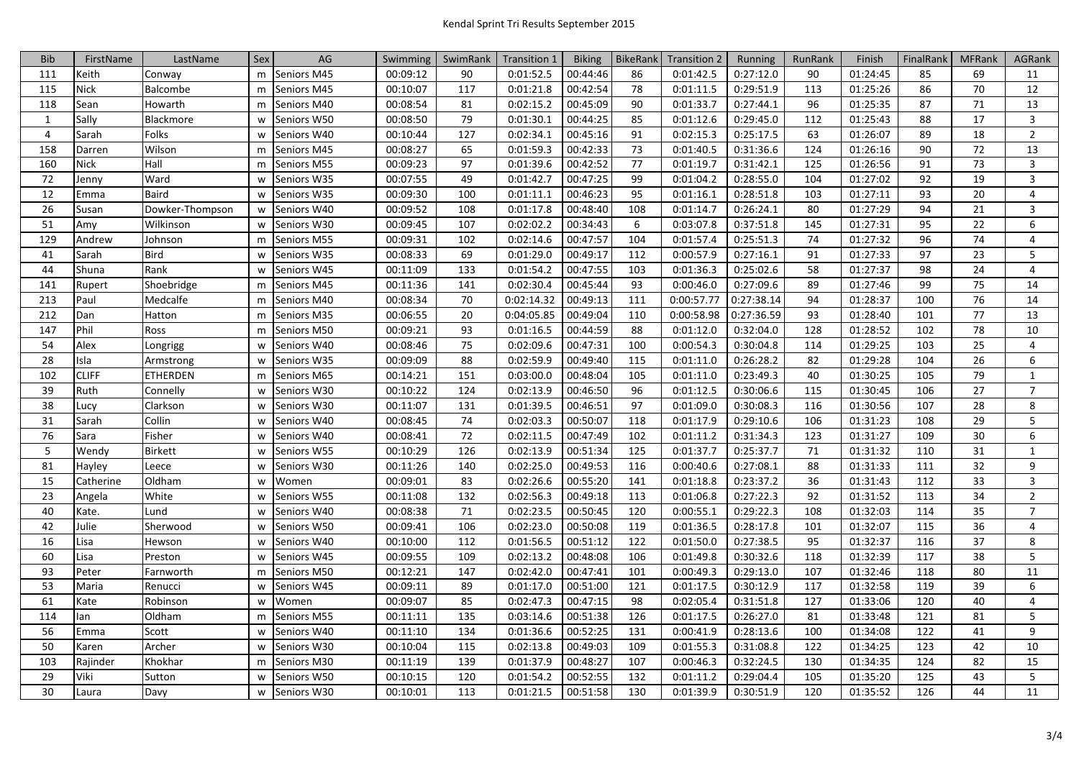| <b>Bib</b>     | FirstName    | LastName        | Sex | AG          | Swimming | SwimRank | <b>Transition 1</b> | <b>Biking</b> | BikeRank | <b>Transition 2</b> | Running    | RunRank | Finish   | FinalRank | <b>MFRank</b> | <b>AGRank</b>  |
|----------------|--------------|-----------------|-----|-------------|----------|----------|---------------------|---------------|----------|---------------------|------------|---------|----------|-----------|---------------|----------------|
| 111            | Keith        | Conway          | m   | Seniors M45 | 00:09:12 | 90       | 0:01:52.5           | 00:44:46      | 86       | 0:01:42.5           | 0:27:12.0  | 90      | 01:24:45 | 85        | 69            | 11             |
| 115            | <b>Nick</b>  | <b>Balcombe</b> | m   | Seniors M45 | 00:10:07 | 117      | 0:01:21.8           | 00:42:54      | 78       | 0:01:11.5           | 0:29:51.9  | 113     | 01:25:26 | 86        | 70            | 12             |
| 118            | Sean         | Howarth         | m   | Seniors M40 | 00:08:54 | 81       | 0:02:15.2           | 00:45:09      | 90       | 0:01:33.7           | 0:27:44.1  | 96      | 01:25:35 | 87        | 71            | 13             |
| 1              | Sally        | Blackmore       | W   | Seniors W50 | 00:08:50 | 79       | 0:01:30.1           | 00:44:25      | 85       | 0:01:12.6           | 0:29:45.0  | 112     | 01:25:43 | 88        | 17            | 3              |
| $\overline{4}$ | Sarah        | Folks           | W   | Seniors W40 | 00:10:44 | 127      | 0:02:34.1           | 00:45:16      | 91       | 0:02:15.3           | 0:25:17.5  | 63      | 01:26:07 | 89        | 18            | $\overline{2}$ |
| 158            | Darren       | Wilson          | m   | Seniors M45 | 00:08:27 | 65       | 0:01:59.3           | 00:42:33      | 73       | 0:01:40.5           | 0:31:36.6  | 124     | 01:26:16 | 90        | 72            | 13             |
| 160            | Nick         | Hall            | m   | Seniors M55 | 00:09:23 | 97       | 0:01:39.6           | 00:42:52      | 77       | 0:01:19.7           | 0:31:42.1  | 125     | 01:26:56 | 91        | 73            | 3              |
| 72             | Jenny        | Ward            | W   | Seniors W35 | 00:07:55 | 49       | 0:01:42.7           | 00:47:25      | 99       | 0:01:04.2           | 0:28:55.0  | 104     | 01:27:02 | 92        | 19            | 3              |
| 12             | Emma         | <b>Baird</b>    | W   | Seniors W35 | 00:09:30 | 100      | 0:01:11.1           | 00:46:23      | 95       | 0:01:16.1           | 0:28:51.8  | 103     | 01:27:11 | 93        | 20            | $\overline{4}$ |
| 26             | Susan        | Dowker-Thompson | W   | Seniors W40 | 00:09:52 | 108      | 0:01:17.8           | 00:48:40      | 108      | 0:01:14.7           | 0:26:24.1  | 80      | 01:27:29 | 94        | 21            | 3              |
| 51             | Amy          | Wilkinson       | W   | Seniors W30 | 00:09:45 | 107      | 0:02:02.2           | 00:34:43      | 6        | 0:03:07.8           | 0:37:51.8  | 145     | 01:27:31 | 95        | 22            | 6              |
| 129            | Andrew       | Johnson         | m   | Seniors M55 | 00:09:31 | 102      | 0:02:14.6           | 00:47:57      | 104      | 0:01:57.4           | 0:25:51.3  | 74      | 01:27:32 | 96        | 74            | $\overline{4}$ |
| 41             | Sarah        | Bird            | W   | Seniors W35 | 00:08:33 | 69       | 0:01:29.0           | 00:49:17      | 112      | 0:00:57.9           | 0:27:16.1  | 91      | 01:27:33 | 97        | 23            | 5              |
| 44             | Shuna        | Rank            | W   | Seniors W45 | 00:11:09 | 133      | 0:01:54.2           | 00:47:55      | 103      | 0:01:36.3           | 0:25:02.6  | 58      | 01:27:37 | 98        | 24            | $\overline{4}$ |
| 141            | Rupert       | Shoebridge      | m   | Seniors M45 | 00:11:36 | 141      | 0:02:30.4           | 00:45:44      | 93       | 0:00:46.0           | 0:27:09.6  | 89      | 01:27:46 | 99        | 75            | 14             |
| 213            | Paul         | Medcalfe        | m   | Seniors M40 | 00:08:34 | 70       | 0:02:14.32          | 00:49:13      | 111      | 0:00:57.77          | 0:27:38.14 | 94      | 01:28:37 | 100       | 76            | 14             |
| 212            | Dan          | Hatton          | m   | Seniors M35 | 00:06:55 | 20       | 0:04:05.85          | 00:49:04      | 110      | 0:00:58.98          | 0:27:36.59 | 93      | 01:28:40 | 101       | 77            | 13             |
| 147            | Phil         | <b>Ross</b>     | m   | Seniors M50 | 00:09:21 | 93       | 0:01:16.5           | 00:44:59      | 88       | 0:01:12.0           | 0:32:04.0  | 128     | 01:28:52 | 102       | 78            | 10             |
| 54             | Alex         | Longrigg        | W   | Seniors W40 | 00:08:46 | 75       | 0:02:09.6           | 00:47:31      | 100      | 0:00:54.3           | 0:30:04.8  | 114     | 01:29:25 | 103       | 25            | $\overline{4}$ |
| 28             | Isla         | Armstrong       | W   | Seniors W35 | 00:09:09 | 88       | 0:02:59.9           | 00:49:40      | 115      | 0:01:11.0           | 0:26:28.2  | 82      | 01:29:28 | 104       | 26            | 6              |
| 102            | <b>CLIFF</b> | ETHERDEN        | m   | Seniors M65 | 00:14:21 | 151      | 0:03:00.0           | 00:48:04      | 105      | 0:01:11.0           | 0:23:49.3  | 40      | 01:30:25 | 105       | 79            | $\mathbf{1}$   |
| 39             | Ruth         | Connelly        | W   | Seniors W30 | 00:10:22 | 124      | 0:02:13.9           | 00:46:50      | 96       | 0:01:12.5           | 0:30:06.6  | 115     | 01:30:45 | 106       | 27            | $\overline{7}$ |
| 38             | Lucy         | Clarkson        | W   | Seniors W30 | 00:11:07 | 131      | 0:01:39.5           | 00:46:51      | 97       | 0:01:09.0           | 0:30:08.3  | 116     | 01:30:56 | 107       | 28            | 8              |
| 31             | Sarah        | Collin          | W   | Seniors W40 | 00:08:45 | 74       | 0:02:03.3           | 00:50:07      | 118      | 0:01:17.9           | 0:29:10.6  | 106     | 01:31:23 | 108       | 29            | 5              |
| 76             | Sara         | Fisher          | W   | Seniors W40 | 00:08:41 | 72       | 0:02:11.5           | 00:47:49      | 102      | 0:01:11.2           | 0:31:34.3  | 123     | 01:31:27 | 109       | 30            | 6              |
| $\overline{5}$ | Wendy        | <b>Birkett</b>  | W   | Seniors W55 | 00:10:29 | 126      | 0:02:13.9           | 00:51:34      | 125      | 0:01:37.7           | 0:25:37.7  | 71      | 01:31:32 | 110       | 31            | $\mathbf{1}$   |
| 81             | Hayley       | Leece           | W   | Seniors W30 | 00:11:26 | 140      | 0:02:25.0           | 00:49:53      | 116      | 0:00:40.6           | 0:27:08.1  | 88      | 01:31:33 | 111       | 32            | 9              |
| 15             | Catherine    | Oldham          | W   | Women       | 00:09:01 | 83       | 0:02:26.6           | 00:55:20      | 141      | 0:01:18.8           | 0:23:37.2  | 36      | 01:31:43 | 112       | 33            | 3              |
| 23             | Angela       | White           | W   | Seniors W55 | 00:11:08 | 132      | 0:02:56.3           | 00:49:18      | 113      | 0:01:06.8           | 0:27:22.3  | 92      | 01:31:52 | 113       | 34            | $\overline{2}$ |
| 40             | Kate.        | Lund            | W   | Seniors W40 | 00:08:38 | 71       | 0:02:23.5           | 00:50:45      | 120      | 0:00:55.1           | 0:29:22.3  | 108     | 01:32:03 | 114       | 35            | $\overline{7}$ |
| 42             | Julie        | Sherwood        | W   | Seniors W50 | 00:09:41 | 106      | 0:02:23.0           | 00:50:08      | 119      | 0:01:36.5           | 0:28:17.8  | 101     | 01:32:07 | 115       | 36            | 4              |
| 16             | Lisa         | Hewson          | W   | Seniors W40 | 00:10:00 | 112      | 0:01:56.5           | 00:51:12      | 122      | 0:01:50.0           | 0:27:38.5  | 95      | 01:32:37 | 116       | 37            | 8              |
| 60             | Lisa         | Preston         | W   | Seniors W45 | 00:09:55 | 109      | 0:02:13.2           | 00:48:08      | 106      | 0:01:49.8           | 0:30:32.6  | 118     | 01:32:39 | 117       | 38            | 5              |
| 93             | Peter        | Farnworth       | m   | Seniors M50 | 00:12:21 | 147      | 0:02:42.0           | 00:47:41      | 101      | 0:00:49.3           | 0:29:13.0  | 107     | 01:32:46 | 118       | 80            | 11             |
| 53             | Maria        | Renucci         | W   | Seniors W45 | 00:09:11 | 89       | 0:01:17.0           | 00:51:00      | 121      | 0:01:17.5           | 0:30:12.9  | 117     | 01:32:58 | 119       | 39            | 6              |
| 61             | Kate         | Robinson        | W   | Women       | 00:09:07 | 85       | 0:02:47.3           | 00:47:15      | 98       | 0:02:05.4           | 0:31:51.8  | 127     | 01:33:06 | 120       | 40            | 4              |
| 114            | lan          | Oldham          | m   | Seniors M55 | 00:11:11 | 135      | 0:03:14.6           | 00:51:38      | 126      | 0:01:17.5           | 0:26:27.0  | 81      | 01:33:48 | 121       | 81            | 5              |
| 56             | Emma         | Scott           | W   | Seniors W40 | 00:11:10 | 134      | 0:01:36.6           | 00:52:25      | 131      | 0:00:41.9           | 0:28:13.6  | 100     | 01:34:08 | 122       | 41            | 9              |
| 50             | Karen        | Archer          | W   | Seniors W30 | 00:10:04 | 115      | 0:02:13.8           | 00:49:03      | 109      | 0:01:55.3           | 0:31:08.8  | 122     | 01:34:25 | 123       | 42            | 10             |
| 103            | Rajinder     | Khokhar         | m   | Seniors M30 | 00:11:19 | 139      | 0:01:37.9           | 00:48:27      | 107      | 0:00:46.3           | 0:32:24.5  | 130     | 01:34:35 | 124       | 82            | 15             |
| 29             | Viki         | Sutton          | w   | Seniors W50 | 00:10:15 | 120      | 0:01:54.2           | 00:52:55      | 132      | 0:01:11.2           | 0:29:04.4  | 105     | 01:35:20 | 125       | 43            | 5              |
| 30             | Laura        | Davy            | w   | Seniors W30 | 00:10:01 | 113      | 0:01:21.5           | 00:51:58      | 130      | 0:01:39.9           | 0:30:51.9  | 120     | 01:35:52 | 126       | 44            | 11             |